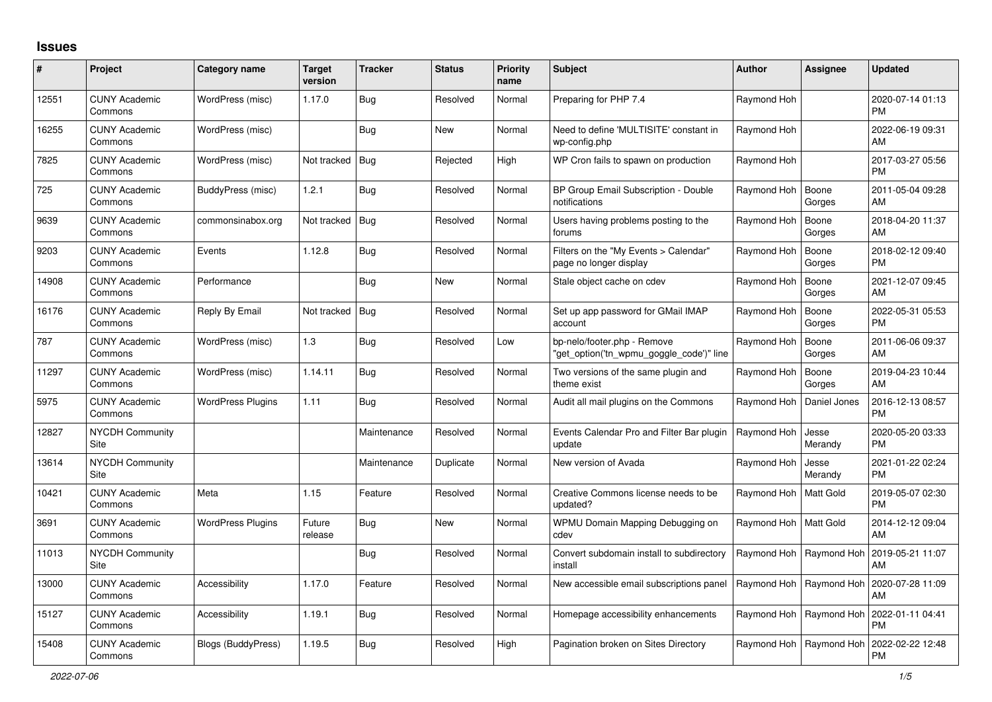## **Issues**

| #     | Project                         | Category name            | <b>Target</b><br>version | <b>Tracker</b> | <b>Status</b> | <b>Priority</b><br>name | <b>Subject</b>                                                          | <b>Author</b> | Assignee         | <b>Updated</b>                |
|-------|---------------------------------|--------------------------|--------------------------|----------------|---------------|-------------------------|-------------------------------------------------------------------------|---------------|------------------|-------------------------------|
| 12551 | <b>CUNY Academic</b><br>Commons | WordPress (misc)         | 1.17.0                   | Bug            | Resolved      | Normal                  | Preparing for PHP 7.4                                                   | Raymond Hoh   |                  | 2020-07-14 01:13<br><b>PM</b> |
| 16255 | <b>CUNY Academic</b><br>Commons | WordPress (misc)         |                          | Bug            | <b>New</b>    | Normal                  | Need to define 'MULTISITE' constant in<br>wp-config.php                 | Raymond Hoh   |                  | 2022-06-19 09:31<br>AM        |
| 7825  | <b>CUNY Academic</b><br>Commons | WordPress (misc)         | Not tracked              | Bug            | Rejected      | High                    | WP Cron fails to spawn on production                                    | Raymond Hoh   |                  | 2017-03-27 05:56<br>PM        |
| 725   | <b>CUNY Academic</b><br>Commons | BuddyPress (misc)        | 1.2.1                    | Bug            | Resolved      | Normal                  | BP Group Email Subscription - Double<br>notifications                   | Raymond Hoh   | Boone<br>Gorges  | 2011-05-04 09:28<br>AM        |
| 9639  | <b>CUNY Academic</b><br>Commons | commonsinabox.org        | Not tracked   Bug        |                | Resolved      | Normal                  | Users having problems posting to the<br>forums                          | Raymond Hoh   | Boone<br>Gorges  | 2018-04-20 11:37<br>AM        |
| 9203  | <b>CUNY Academic</b><br>Commons | Events                   | 1.12.8                   | <b>Bug</b>     | Resolved      | Normal                  | Filters on the "My Events > Calendar"<br>page no longer display         | Raymond Hoh   | Boone<br>Gorges  | 2018-02-12 09:40<br><b>PM</b> |
| 14908 | <b>CUNY Academic</b><br>Commons | Performance              |                          | <b>Bug</b>     | <b>New</b>    | Normal                  | Stale object cache on cdev                                              | Raymond Hoh   | Boone<br>Gorges  | 2021-12-07 09:45<br>AM        |
| 16176 | <b>CUNY Academic</b><br>Commons | Reply By Email           | Not tracked   Bug        |                | Resolved      | Normal                  | Set up app password for GMail IMAP<br>account                           | Raymond Hoh   | Boone<br>Gorges  | 2022-05-31 05:53<br>PM.       |
| 787   | <b>CUNY Academic</b><br>Commons | WordPress (misc)         | 1.3                      | Bug            | Resolved      | Low                     | bp-nelo/footer.php - Remove<br>"get_option('tn_wpmu_goggle_code')" line | Raymond Hoh   | Boone<br>Gorges  | 2011-06-06 09:37<br>AM        |
| 11297 | <b>CUNY Academic</b><br>Commons | WordPress (misc)         | 1.14.11                  | Bug            | Resolved      | Normal                  | Two versions of the same plugin and<br>theme exist                      | Raymond Hoh   | Boone<br>Gorges  | 2019-04-23 10:44<br>AM        |
| 5975  | <b>CUNY Academic</b><br>Commons | <b>WordPress Plugins</b> | 1.11                     | Bug            | Resolved      | Normal                  | Audit all mail plugins on the Commons                                   | Raymond Hoh   | Daniel Jones     | 2016-12-13 08:57<br><b>PM</b> |
| 12827 | <b>NYCDH Community</b><br>Site  |                          |                          | Maintenance    | Resolved      | Normal                  | Events Calendar Pro and Filter Bar plugin<br>update                     | Raymond Hoh   | Jesse<br>Merandy | 2020-05-20 03:33<br><b>PM</b> |
| 13614 | NYCDH Community<br><b>Site</b>  |                          |                          | Maintenance    | Duplicate     | Normal                  | New version of Avada                                                    | Raymond Hoh   | Jesse<br>Merandy | 2021-01-22 02:24<br>PM        |
| 10421 | <b>CUNY Academic</b><br>Commons | Meta                     | 1.15                     | Feature        | Resolved      | Normal                  | Creative Commons license needs to be<br>updated?                        | Raymond Hoh   | Matt Gold        | 2019-05-07 02:30<br><b>PM</b> |
| 3691  | <b>CUNY Academic</b><br>Commons | <b>WordPress Plugins</b> | Future<br>release        | Bug            | <b>New</b>    | Normal                  | WPMU Domain Mapping Debugging on<br>cdev                                | Raymond Hoh   | Matt Gold        | 2014-12-12 09:04<br>AM        |
| 11013 | <b>NYCDH Community</b><br>Site  |                          |                          | Bug            | Resolved      | Normal                  | Convert subdomain install to subdirectory<br>install                    | Raymond Hoh   | Raymond Hoh      | 2019-05-21 11:07<br>AM        |
| 13000 | <b>CUNY Academic</b><br>Commons | Accessibility            | 1.17.0                   | Feature        | Resolved      | Normal                  | New accessible email subscriptions panel                                | Raymond Hoh   | Raymond Hoh      | 2020-07-28 11:09<br>AM        |
| 15127 | <b>CUNY Academic</b><br>Commons | Accessibility            | 1.19.1                   | Bug            | Resolved      | Normal                  | Homepage accessibility enhancements                                     | Raymond Hoh   | Raymond Hoh      | 2022-01-11 04:41<br><b>PM</b> |
| 15408 | <b>CUNY Academic</b><br>Commons | Blogs (BuddyPress)       | 1.19.5                   | Bug            | Resolved      | High                    | Pagination broken on Sites Directory                                    | Raymond Hoh   | Raymond Hoh      | 2022-02-22 12:48<br><b>PM</b> |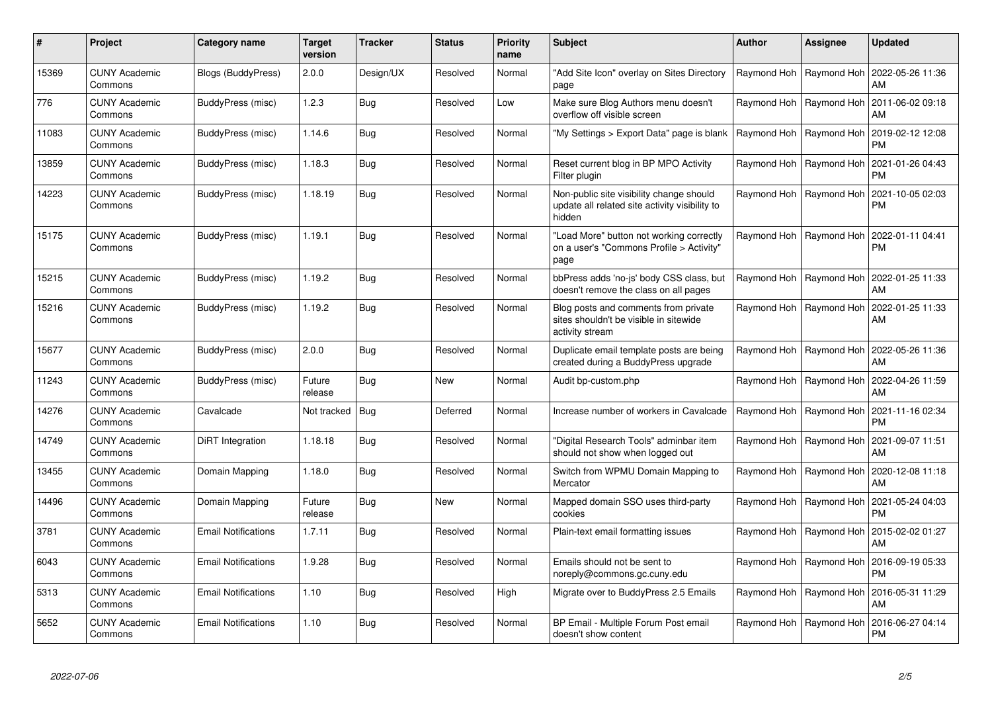| #     | Project                         | <b>Category name</b>       | <b>Target</b><br>version | <b>Tracker</b> | <b>Status</b> | <b>Priority</b><br>name | <b>Subject</b>                                                                                       | <b>Author</b> | Assignee                  | <b>Updated</b>                                            |
|-------|---------------------------------|----------------------------|--------------------------|----------------|---------------|-------------------------|------------------------------------------------------------------------------------------------------|---------------|---------------------------|-----------------------------------------------------------|
| 15369 | <b>CUNY Academic</b><br>Commons | <b>Blogs (BuddyPress)</b>  | 2.0.0                    | Design/UX      | Resolved      | Normal                  | "Add Site Icon" overlay on Sites Directory<br>page                                                   |               | Raymond Hoh   Raymond Hoh | 2022-05-26 11:36<br>AM                                    |
| 776   | <b>CUNY Academic</b><br>Commons | BuddyPress (misc)          | 1.2.3                    | Bug            | Resolved      | Low                     | Make sure Blog Authors menu doesn't<br>overflow off visible screen                                   |               | Raymond Hoh   Raymond Hoh | 2011-06-02 09:18<br>AM                                    |
| 11083 | <b>CUNY Academic</b><br>Commons | BuddyPress (misc)          | 1.14.6                   | Bug            | Resolved      | Normal                  | 'My Settings > Export Data" page is blank                                                            | Raymond Hoh   | Raymond Hoh               | 2019-02-12 12:08<br><b>PM</b>                             |
| 13859 | <b>CUNY Academic</b><br>Commons | BuddyPress (misc)          | 1.18.3                   | Bug            | Resolved      | Normal                  | Reset current blog in BP MPO Activity<br>Filter plugin                                               |               | Raymond Hoh   Raymond Hoh | 2021-01-26 04:43<br><b>PM</b>                             |
| 14223 | <b>CUNY Academic</b><br>Commons | BuddyPress (misc)          | 1.18.19                  | Bug            | Resolved      | Normal                  | Non-public site visibility change should<br>update all related site activity visibility to<br>hidden |               | Raymond Hoh   Raymond Hoh | 2021-10-05 02:03<br><b>PM</b>                             |
| 15175 | <b>CUNY Academic</b><br>Commons | BuddyPress (misc)          | 1.19.1                   | Bug            | Resolved      | Normal                  | "Load More" button not working correctly<br>on a user's "Commons Profile > Activity"<br>page         |               | Raymond Hoh   Raymond Hoh | 2022-01-11 04:41<br><b>PM</b>                             |
| 15215 | CUNY Academic<br>Commons        | BuddyPress (misc)          | 1.19.2                   | Bug            | Resolved      | Normal                  | bbPress adds 'no-js' body CSS class, but<br>doesn't remove the class on all pages                    |               | Raymond Hoh   Raymond Hoh | 2022-01-25 11:33<br>AM                                    |
| 15216 | <b>CUNY Academic</b><br>Commons | BuddyPress (misc)          | 1.19.2                   | Bug            | Resolved      | Normal                  | Blog posts and comments from private<br>sites shouldn't be visible in sitewide<br>activity stream    |               | Raymond Hoh   Raymond Hoh | 2022-01-25 11:33<br>AM                                    |
| 15677 | <b>CUNY Academic</b><br>Commons | BuddyPress (misc)          | 2.0.0                    | Bug            | Resolved      | Normal                  | Duplicate email template posts are being<br>created during a BuddyPress upgrade                      |               |                           | Raymond Hoh   Raymond Hoh   2022-05-26 11:36<br>AM        |
| 11243 | <b>CUNY Academic</b><br>Commons | BuddyPress (misc)          | Future<br>release        | Bug            | <b>New</b>    | Normal                  | Audit bp-custom.php                                                                                  |               | Raymond Hoh   Raymond Hoh | 2022-04-26 11:59<br>AM                                    |
| 14276 | <b>CUNY Academic</b><br>Commons | Cavalcade                  | Not tracked              | <b>Bug</b>     | Deferred      | Normal                  | Increase number of workers in Cavalcade                                                              | Raymond Hoh   | Raymond Hoh               | 2021-11-16 02:34<br><b>PM</b>                             |
| 14749 | <b>CUNY Academic</b><br>Commons | DiRT Integration           | 1.18.18                  | Bug            | Resolved      | Normal                  | 'Digital Research Tools" adminbar item<br>should not show when logged out                            | Raymond Hoh   | Raymond Hoh               | 2021-09-07 11:51<br>AM                                    |
| 13455 | <b>CUNY Academic</b><br>Commons | Domain Mapping             | 1.18.0                   | Bug            | Resolved      | Normal                  | Switch from WPMU Domain Mapping to<br>Mercator                                                       |               | Raymond Hoh   Raymond Hoh | 2020-12-08 11:18<br>AM                                    |
| 14496 | <b>CUNY Academic</b><br>Commons | Domain Mapping             | Future<br>release        | Bug            | <b>New</b>    | Normal                  | Mapped domain SSO uses third-party<br>cookies                                                        |               | Raymond Hoh   Raymond Hoh | 2021-05-24 04:03<br><b>PM</b>                             |
| 3781  | <b>CUNY Academic</b><br>Commons | <b>Email Notifications</b> | 1.7.11                   | Bug            | Resolved      | Normal                  | Plain-text email formatting issues                                                                   |               | Raymond Hoh   Raymond Hoh | 2015-02-02 01:27<br>AM                                    |
| 6043  | <b>CUNY Academic</b><br>Commons | <b>Email Notifications</b> | 1.9.28                   | Bug            | Resolved      | Normal                  | Emails should not be sent to<br>noreply@commons.gc.cuny.edu                                          |               |                           | Raymond Hoh   Raymond Hoh   2016-09-19 05:33<br><b>PM</b> |
| 5313  | <b>CUNY Academic</b><br>Commons | <b>Email Notifications</b> | 1.10                     | Bug            | Resolved      | High                    | Migrate over to BuddyPress 2.5 Emails                                                                |               | Raymond Hoh   Raymond Hoh | 2016-05-31 11:29<br>AM                                    |
| 5652  | <b>CUNY Academic</b><br>Commons | <b>Email Notifications</b> | 1.10                     | Bug            | Resolved      | Normal                  | BP Email - Multiple Forum Post email<br>doesn't show content                                         | Raymond Hoh   | Raymond Hoh               | 2016-06-27 04:14<br><b>PM</b>                             |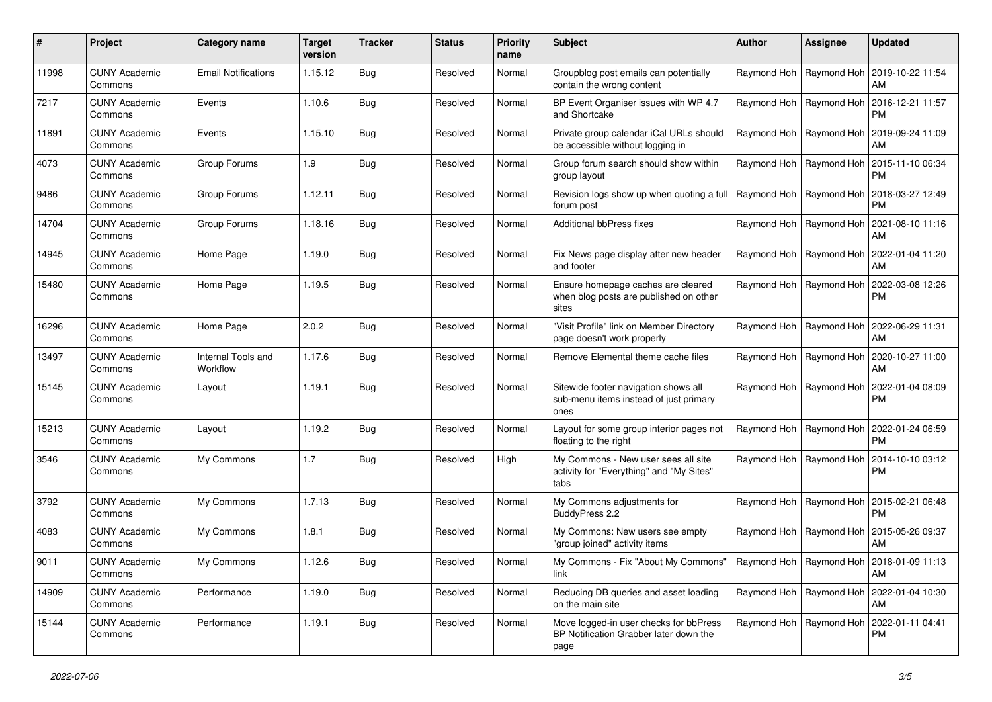| #     | Project                         | Category name                  | <b>Target</b><br>version | <b>Tracker</b> | <b>Status</b> | <b>Priority</b><br>name | Subject                                                                                    | <b>Author</b>             | Assignee                  | <b>Updated</b>                                            |
|-------|---------------------------------|--------------------------------|--------------------------|----------------|---------------|-------------------------|--------------------------------------------------------------------------------------------|---------------------------|---------------------------|-----------------------------------------------------------|
| 11998 | <b>CUNY Academic</b><br>Commons | <b>Email Notifications</b>     | 1.15.12                  | Bug            | Resolved      | Normal                  | Groupblog post emails can potentially<br>contain the wrong content                         |                           |                           | Raymond Hoh   Raymond Hoh   2019-10-22 11:54<br>AM        |
| 7217  | <b>CUNY Academic</b><br>Commons | Events                         | 1.10.6                   | <b>Bug</b>     | Resolved      | Normal                  | BP Event Organiser issues with WP 4.7<br>and Shortcake                                     |                           |                           | Raymond Hoh   Raymond Hoh   2016-12-21 11:57<br><b>PM</b> |
| 11891 | <b>CUNY Academic</b><br>Commons | Events                         | 1.15.10                  | <b>Bug</b>     | Resolved      | Normal                  | Private group calendar iCal URLs should<br>be accessible without logging in                |                           | Raymond Hoh   Raymond Hoh | 2019-09-24 11:09<br>AM                                    |
| 4073  | <b>CUNY Academic</b><br>Commons | Group Forums                   | 1.9                      | <b>Bug</b>     | Resolved      | Normal                  | Group forum search should show within<br>group layout                                      |                           | Raymond Hoh   Raymond Hoh | 2015-11-10 06:34<br><b>PM</b>                             |
| 9486  | <b>CUNY Academic</b><br>Commons | Group Forums                   | 1.12.11                  | <b>Bug</b>     | Resolved      | Normal                  | Revision logs show up when quoting a full<br>forum post                                    | Raymond Hoh   Raymond Hoh |                           | 2018-03-27 12:49<br><b>PM</b>                             |
| 14704 | <b>CUNY Academic</b><br>Commons | Group Forums                   | 1.18.16                  | <b>Bug</b>     | Resolved      | Normal                  | Additional bbPress fixes                                                                   |                           |                           | Raymond Hoh   Raymond Hoh   2021-08-10 11:16<br>AM        |
| 14945 | <b>CUNY Academic</b><br>Commons | Home Page                      | 1.19.0                   | <b>Bug</b>     | Resolved      | Normal                  | Fix News page display after new header<br>and footer                                       |                           | Raymond Hoh   Raymond Hoh | 2022-01-04 11:20<br>AM                                    |
| 15480 | <b>CUNY Academic</b><br>Commons | Home Page                      | 1.19.5                   | Bug            | Resolved      | Normal                  | Ensure homepage caches are cleared<br>when blog posts are published on other<br>sites      |                           | Raymond Hoh   Raymond Hoh | 2022-03-08 12:26<br><b>PM</b>                             |
| 16296 | <b>CUNY Academic</b><br>Commons | Home Page                      | 2.0.2                    | <b>Bug</b>     | Resolved      | Normal                  | "Visit Profile" link on Member Directory<br>page doesn't work properly                     |                           |                           | Raymond Hoh   Raymond Hoh   2022-06-29 11:31<br>AM        |
| 13497 | <b>CUNY Academic</b><br>Commons | Internal Tools and<br>Workflow | 1.17.6                   | <b>Bug</b>     | Resolved      | Normal                  | Remove Elemental theme cache files                                                         |                           | Raymond Hoh   Raymond Hoh | 2020-10-27 11:00<br>AM                                    |
| 15145 | <b>CUNY Academic</b><br>Commons | Layout                         | 1.19.1                   | <b>Bug</b>     | Resolved      | Normal                  | Sitewide footer navigation shows all<br>sub-menu items instead of just primary<br>ones     |                           | Raymond Hoh   Raymond Hoh | 2022-01-04 08:09<br><b>PM</b>                             |
| 15213 | <b>CUNY Academic</b><br>Commons | Layout                         | 1.19.2                   | Bug            | Resolved      | Normal                  | Layout for some group interior pages not<br>floating to the right                          |                           | Raymond Hoh   Raymond Hoh | 2022-01-24 06:59<br><b>PM</b>                             |
| 3546  | <b>CUNY Academic</b><br>Commons | My Commons                     | 1.7                      | <b>Bug</b>     | Resolved      | High                    | My Commons - New user sees all site<br>activity for "Everything" and "My Sites"<br>tabs    |                           | Raymond Hoh   Raymond Hoh | 2014-10-10 03:12<br>PM.                                   |
| 3792  | <b>CUNY Academic</b><br>Commons | My Commons                     | 1.7.13                   | <b>Bug</b>     | Resolved      | Normal                  | My Commons adjustments for<br>BuddyPress 2.2                                               |                           | Raymond Hoh   Raymond Hoh | 2015-02-21 06:48<br><b>PM</b>                             |
| 4083  | <b>CUNY Academic</b><br>Commons | My Commons                     | 1.8.1                    | Bug            | Resolved      | Normal                  | My Commons: New users see empty<br>"group joined" activity items                           |                           | Raymond Hoh   Raymond Hoh | 2015-05-26 09:37<br>AM                                    |
| 9011  | <b>CUNY Academic</b><br>Commons | My Commons                     | 1.12.6                   | Bug            | Resolved      | Normal                  | My Commons - Fix "About My Commons"   Raymond Hoh   Raymond Hoh   2018-01-09 11:13<br>link |                           |                           | AM                                                        |
| 14909 | <b>CUNY Academic</b><br>Commons | Performance                    | 1.19.0                   | Bug            | Resolved      | Normal                  | Reducing DB queries and asset loading<br>on the main site                                  |                           |                           | Raymond Hoh   Raymond Hoh   2022-01-04 10:30<br>AM        |
| 15144 | <b>CUNY Academic</b><br>Commons | Performance                    | 1.19.1                   | Bug            | Resolved      | Normal                  | Move logged-in user checks for bbPress<br>BP Notification Grabber later down the<br>page   |                           |                           | Raymond Hoh   Raymond Hoh   2022-01-11 04:41<br>PM        |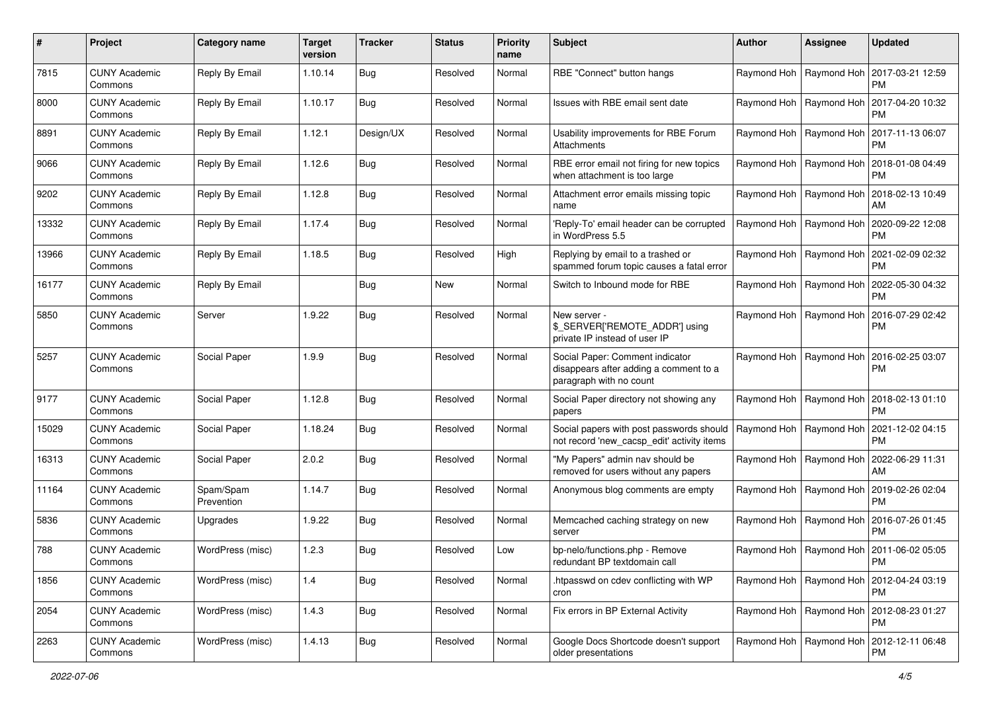|       | Project                         | Category name           | <b>Target</b><br>version | <b>Tracker</b> | <b>Status</b> | <b>Priority</b><br>name | Subject                                                                                              | Author | <b>Assignee</b>           | <b>Updated</b>                                            |
|-------|---------------------------------|-------------------------|--------------------------|----------------|---------------|-------------------------|------------------------------------------------------------------------------------------------------|--------|---------------------------|-----------------------------------------------------------|
| 7815  | <b>CUNY Academic</b><br>Commons | Reply By Email          | 1.10.14                  | Bug            | Resolved      | Normal                  | RBE "Connect" button hangs                                                                           |        | Raymond Hoh   Raymond Hoh | 2017-03-21 12:59<br><b>PM</b>                             |
| 8000  | <b>CUNY Academic</b><br>Commons | Reply By Email          | 1.10.17                  | Bug            | Resolved      | Normal                  | Issues with RBE email sent date                                                                      |        | Raymond Hoh   Raymond Hoh | 2017-04-20 10:32<br><b>PM</b>                             |
| 8891  | <b>CUNY Academic</b><br>Commons | Reply By Email          | 1.12.1                   | Design/UX      | Resolved      | Normal                  | Usability improvements for RBE Forum<br>Attachments                                                  |        | Raymond Hoh   Raymond Hoh | 2017-11-13 06:07<br><b>PM</b>                             |
| 9066  | <b>CUNY Academic</b><br>Commons | Reply By Email          | 1.12.6                   | <b>Bug</b>     | Resolved      | Normal                  | RBE error email not firing for new topics<br>when attachment is too large                            |        | Raymond Hoh   Raymond Hoh | 2018-01-08 04:49<br><b>PM</b>                             |
| 9202  | <b>CUNY Academic</b><br>Commons | Reply By Email          | 1.12.8                   | <b>Bug</b>     | Resolved      | Normal                  | Attachment error emails missing topic<br>name                                                        |        | Raymond Hoh   Raymond Hoh | 2018-02-13 10:49<br>AM                                    |
| 13332 | <b>CUNY Academic</b><br>Commons | Reply By Email          | 1.17.4                   | <b>Bug</b>     | Resolved      | Normal                  | 'Reply-To' email header can be corrupted<br>in WordPress 5.5                                         |        | Raymond Hoh   Raymond Hoh | 2020-09-22 12:08<br><b>PM</b>                             |
| 13966 | <b>CUNY Academic</b><br>Commons | Reply By Email          | 1.18.5                   | Bug            | Resolved      | High                    | Replying by email to a trashed or<br>spammed forum topic causes a fatal error                        |        | Raymond Hoh   Raymond Hoh | 2021-02-09 02:32<br><b>PM</b>                             |
| 16177 | <b>CUNY Academic</b><br>Commons | Reply By Email          |                          | <b>Bug</b>     | <b>New</b>    | Normal                  | Switch to Inbound mode for RBE                                                                       |        | Raymond Hoh   Raymond Hoh | 2022-05-30 04:32<br><b>PM</b>                             |
| 5850  | <b>CUNY Academic</b><br>Commons | Server                  | 1.9.22                   | <b>Bug</b>     | Resolved      | Normal                  | New server -<br>\$_SERVER['REMOTE_ADDR'] using<br>private IP instead of user IP                      |        | Raymond Hoh   Raymond Hoh | 2016-07-29 02:42<br><b>PM</b>                             |
| 5257  | <b>CUNY Academic</b><br>Commons | Social Paper            | 1.9.9                    | Bug            | Resolved      | Normal                  | Social Paper: Comment indicator<br>disappears after adding a comment to a<br>paragraph with no count |        |                           | Raymond Hoh   Raymond Hoh   2016-02-25 03:07<br><b>PM</b> |
| 9177  | <b>CUNY Academic</b><br>Commons | Social Paper            | 1.12.8                   | Bug            | Resolved      | Normal                  | Social Paper directory not showing any<br>papers                                                     |        |                           | Raymond Hoh   Raymond Hoh   2018-02-13 01:10<br><b>PM</b> |
| 15029 | <b>CUNY Academic</b><br>Commons | Social Paper            | 1.18.24                  | <b>Bug</b>     | Resolved      | Normal                  | Social papers with post passwords should<br>not record 'new_cacsp_edit' activity items               |        | Raymond Hoh   Raymond Hoh | 2021-12-02 04:15<br><b>PM</b>                             |
| 16313 | <b>CUNY Academic</b><br>Commons | Social Paper            | 2.0.2                    | Bug            | Resolved      | Normal                  | "My Papers" admin nav should be<br>removed for users without any papers                              |        | Raymond Hoh   Raymond Hoh | 2022-06-29 11:31<br>AM                                    |
| 11164 | <b>CUNY Academic</b><br>Commons | Spam/Spam<br>Prevention | 1.14.7                   | <b>Bug</b>     | Resolved      | Normal                  | Anonymous blog comments are empty                                                                    |        | Raymond Hoh   Raymond Hoh | 2019-02-26 02:04<br><b>PM</b>                             |
| 5836  | <b>CUNY Academic</b><br>Commons | Upgrades                | 1.9.22                   | Bug            | Resolved      | Normal                  | Memcached caching strategy on new<br>server                                                          |        |                           | Raymond Hoh   Raymond Hoh   2016-07-26 01:45<br><b>PM</b> |
| 788   | <b>CUNY Academic</b><br>Commons | WordPress (misc)        | 1.2.3                    | <b>Bug</b>     | Resolved      | Low                     | bp-nelo/functions.php - Remove<br>redundant BP textdomain call                                       |        |                           | Raymond Hoh   Raymond Hoh   2011-06-02 05:05<br>PM        |
| 1856  | <b>CUNY Academic</b><br>Commons | WordPress (misc)        | 1.4                      | Bug            | Resolved      | Normal                  | .htpasswd on cdev conflicting with WP<br>cron                                                        |        | Raymond Hoh   Raymond Hoh | 2012-04-24 03:19<br>PM                                    |
| 2054  | <b>CUNY Academic</b><br>Commons | WordPress (misc)        | 1.4.3                    | i Bug          | Resolved      | Normal                  | Fix errors in BP External Activity                                                                   |        | Raymond Hoh   Raymond Hoh | 2012-08-23 01:27<br><b>PM</b>                             |
| 2263  | <b>CUNY Academic</b><br>Commons | WordPress (misc)        | 1.4.13                   | Bug            | Resolved      | Normal                  | Google Docs Shortcode doesn't support<br>older presentations                                         |        |                           | Raymond Hoh   Raymond Hoh   2012-12-11 06:48<br><b>PM</b> |